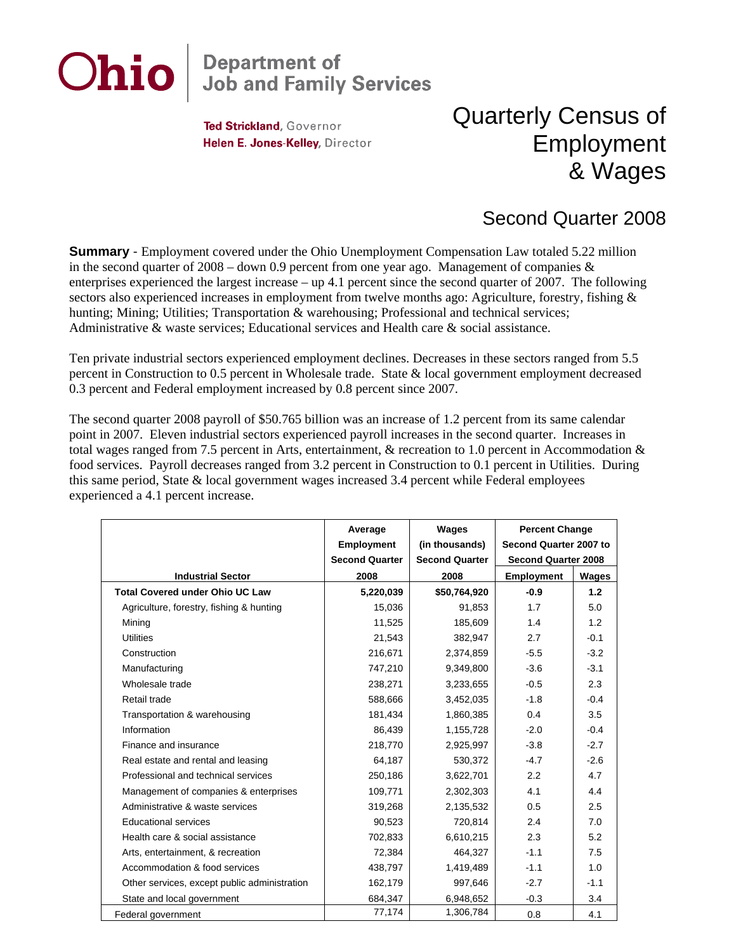## Ohio **Department of<br>Job and Family Services**

Ted Strickland, Governor Helen E. Jones-Kelley, Director

## Quarterly Census of Employment & Wages

## Second Quarter 2008

**Summary** - Employment covered under the Ohio Unemployment Compensation Law totaled 5.22 million in the second quarter of  $2008 -$  down 0.9 percent from one year ago. Management of companies & enterprises experienced the largest increase – up 4.1 percent since the second quarter of 2007. The following sectors also experienced increases in employment from twelve months ago: Agriculture, forestry, fishing & hunting; Mining; Utilities; Transportation & warehousing; Professional and technical services; Administrative & waste services; Educational services and Health care & social assistance.

Ten private industrial sectors experienced employment declines. Decreases in these sectors ranged from 5.5 percent in Construction to 0.5 percent in Wholesale trade. State & local government employment decreased 0.3 percent and Federal employment increased by 0.8 percent since 2007.

The second quarter 2008 payroll of \$50.765 billion was an increase of 1.2 percent from its same calendar point in 2007. Eleven industrial sectors experienced payroll increases in the second quarter. Increases in total wages ranged from 7.5 percent in Arts, entertainment, & recreation to 1.0 percent in Accommodation & food services. Payroll decreases ranged from 3.2 percent in Construction to 0.1 percent in Utilities. During this same period, State & local government wages increased 3.4 percent while Federal employees experienced a 4.1 percent increase.

|                                              | Average<br><b>Employment</b> | Wages<br>(in thousands) | <b>Percent Change</b><br>Second Quarter 2007 to |        |
|----------------------------------------------|------------------------------|-------------------------|-------------------------------------------------|--------|
|                                              | <b>Second Quarter</b>        | <b>Second Quarter</b>   | <b>Second Quarter 2008</b>                      |        |
| <b>Industrial Sector</b>                     | 2008                         | 2008                    | Employment                                      | Wages  |
| <b>Total Covered under Ohio UC Law</b>       | 5,220,039                    | \$50,764,920            | $-0.9$                                          | 1.2    |
| Agriculture, forestry, fishing & hunting     | 15,036                       | 91,853                  | 1.7                                             | 5.0    |
| Mining                                       | 11,525                       | 185,609                 | 1.4                                             | 1.2    |
| <b>Utilities</b>                             | 21,543                       | 382,947                 | 2.7                                             | $-0.1$ |
| Construction                                 | 216,671                      | 2,374,859               | $-5.5$                                          | $-3.2$ |
| Manufacturing                                | 747,210                      | 9,349,800               | $-3.6$                                          | $-3.1$ |
| Wholesale trade                              | 238,271                      | 3,233,655               | $-0.5$                                          | 2.3    |
| Retail trade                                 | 588,666                      | 3,452,035               | $-1.8$                                          | $-0.4$ |
| Transportation & warehousing                 | 181,434                      | 1,860,385               | 0.4                                             | 3.5    |
| Information                                  | 86,439                       | 1,155,728               | $-2.0$                                          | $-0.4$ |
| Finance and insurance                        | 218,770                      | 2,925,997               | $-3.8$                                          | $-2.7$ |
| Real estate and rental and leasing           | 64,187                       | 530,372                 | $-4.7$                                          | $-2.6$ |
| Professional and technical services          | 250,186                      | 3,622,701               | 2.2                                             | 4.7    |
| Management of companies & enterprises        | 109,771                      | 2,302,303               | 4.1                                             | 4.4    |
| Administrative & waste services              | 319,268                      | 2,135,532               | 0.5                                             | 2.5    |
| <b>Educational services</b>                  | 90,523                       | 720,814                 | 2.4                                             | 7.0    |
| Health care & social assistance              | 702,833                      | 6,610,215               | 2.3                                             | 5.2    |
| Arts, entertainment, & recreation            | 72,384                       | 464,327                 | $-1.1$                                          | 7.5    |
| Accommodation & food services                | 438,797                      | 1,419,489               | $-1.1$                                          | 1.0    |
| Other services, except public administration | 162,179                      | 997,646                 | $-2.7$                                          | $-1.1$ |
| State and local government                   | 684,347                      | 6,948,652               | $-0.3$                                          | 3.4    |
| Federal government                           | 77,174                       | 1,306,784               | 0.8                                             | 4.1    |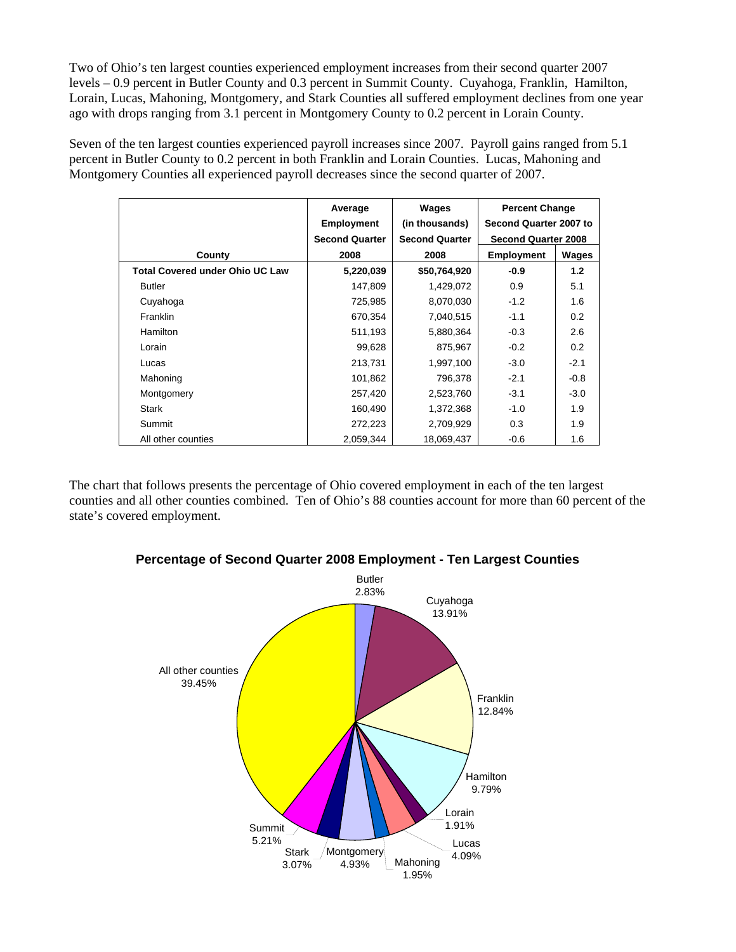Two of Ohio's ten largest counties experienced employment increases from their second quarter 2007 levels – 0.9 percent in Butler County and 0.3 percent in Summit County. Cuyahoga, Franklin, Hamilton, Lorain, Lucas, Mahoning, Montgomery, and Stark Counties all suffered employment declines from one year ago with drops ranging from 3.1 percent in Montgomery County to 0.2 percent in Lorain County.

Seven of the ten largest counties experienced payroll increases since 2007. Payroll gains ranged from 5.1 percent in Butler County to 0.2 percent in both Franklin and Lorain Counties. Lucas, Mahoning and Montgomery Counties all experienced payroll decreases since the second quarter of 2007.

|                                        | Average<br><b>Employment</b> | Wages<br>(in thousands) | <b>Percent Change</b><br>Second Quarter 2007 to<br><b>Second Quarter 2008</b> |        |
|----------------------------------------|------------------------------|-------------------------|-------------------------------------------------------------------------------|--------|
|                                        | <b>Second Quarter</b>        | <b>Second Quarter</b>   |                                                                               |        |
| County                                 | 2008                         | 2008                    | <b>Employment</b>                                                             | Wages  |
| <b>Total Covered under Ohio UC Law</b> | 5,220,039                    | \$50,764,920            | $-0.9$                                                                        | 1.2    |
| <b>Butler</b>                          | 147,809                      | 1,429,072               | 0.9                                                                           | 5.1    |
| Cuyahoga                               | 725,985                      | 8,070,030               | $-1.2$                                                                        | 1.6    |
| Franklin                               | 670,354                      | 7.040.515               | $-1.1$                                                                        | 0.2    |
| Hamilton                               | 511,193                      | 5,880,364               | $-0.3$                                                                        | 2.6    |
| Lorain                                 | 99,628                       | 875,967                 | $-0.2$                                                                        | 0.2    |
| Lucas                                  | 213,731                      | 1,997,100               | $-3.0$                                                                        | $-2.1$ |
| Mahoning                               | 101,862                      | 796,378                 | $-2.1$                                                                        | $-0.8$ |
| Montgomery                             | 257,420                      | 2,523,760               | $-3.1$                                                                        | $-3.0$ |
| <b>Stark</b>                           | 160,490                      | 1,372,368               | $-1.0$                                                                        | 1.9    |
| Summit                                 | 272,223                      | 2,709,929               | 0.3                                                                           | 1.9    |
| All other counties                     | 2,059,344                    | 18,069,437              | $-0.6$                                                                        | 1.6    |

The chart that follows presents the percentage of Ohio covered employment in each of the ten largest counties and all other counties combined. Ten of Ohio's 88 counties account for more than 60 percent of the state's covered employment.



**Percentage of Second Quarter 2008 Employment - Ten Largest Counties**